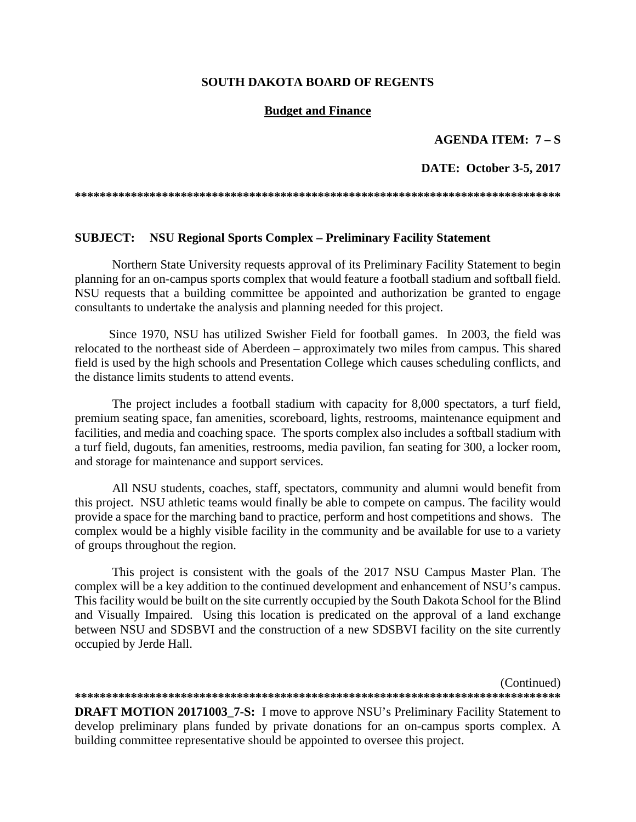#### **SOUTH DAKOTA BOARD OF REGENTS**

#### **Budget and Finance**

#### **AGENDA ITEM: 7 – S**

#### **DATE: October 3-5, 2017**

**\*\*\*\*\*\*\*\*\*\*\*\*\*\*\*\*\*\*\*\*\*\*\*\*\*\*\*\*\*\*\*\*\*\*\*\*\*\*\*\*\*\*\*\*\*\*\*\*\*\*\*\*\*\*\*\*\*\*\*\*\*\*\*\*\*\*\*\*\*\*\*\*\*\*\*\*\*\*** 

#### **SUBJECT: NSU Regional Sports Complex – Preliminary Facility Statement**

 Northern State University requests approval of its Preliminary Facility Statement to begin planning for an on-campus sports complex that would feature a football stadium and softball field. NSU requests that a building committee be appointed and authorization be granted to engage consultants to undertake the analysis and planning needed for this project.

Since 1970, NSU has utilized Swisher Field for football games. In 2003, the field was relocated to the northeast side of Aberdeen – approximately two miles from campus. This shared field is used by the high schools and Presentation College which causes scheduling conflicts, and the distance limits students to attend events.

The project includes a football stadium with capacity for 8,000 spectators, a turf field, premium seating space, fan amenities, scoreboard, lights, restrooms, maintenance equipment and facilities, and media and coaching space. The sports complex also includes a softball stadium with a turf field, dugouts, fan amenities, restrooms, media pavilion, fan seating for 300, a locker room, and storage for maintenance and support services.

All NSU students, coaches, staff, spectators, community and alumni would benefit from this project. NSU athletic teams would finally be able to compete on campus. The facility would provide a space for the marching band to practice, perform and host competitions and shows. The complex would be a highly visible facility in the community and be available for use to a variety of groups throughout the region.

This project is consistent with the goals of the 2017 NSU Campus Master Plan. The complex will be a key addition to the continued development and enhancement of NSU's campus. This facility would be built on the site currently occupied by the South Dakota School for the Blind and Visually Impaired. Using this location is predicated on the approval of a land exchange between NSU and SDSBVI and the construction of a new SDSBVI facility on the site currently occupied by Jerde Hall.

(Continued) **\*\*\*\*\*\*\*\*\*\*\*\*\*\*\*\*\*\*\*\*\*\*\*\*\*\*\*\*\*\*\*\*\*\*\*\*\*\*\*\*\*\*\*\*\*\*\*\*\*\*\*\*\*\*\*\*\*\*\*\*\*\*\*\*\*\*\*\*\*\*\*\*\*\*\*\*\*\*** 

**DRAFT MOTION 20171003\_7-S:** I move to approve NSU's Preliminary Facility Statement to develop preliminary plans funded by private donations for an on-campus sports complex. A building committee representative should be appointed to oversee this project.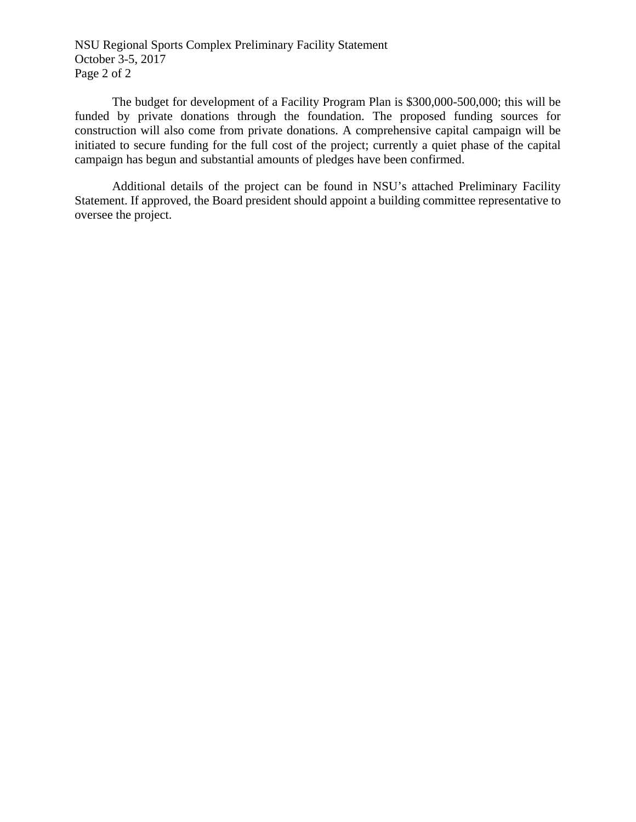NSU Regional Sports Complex Preliminary Facility Statement October 3-5, 2017 Page 2 of 2

The budget for development of a Facility Program Plan is \$300,000-500,000; this will be funded by private donations through the foundation. The proposed funding sources for construction will also come from private donations. A comprehensive capital campaign will be initiated to secure funding for the full cost of the project; currently a quiet phase of the capital campaign has begun and substantial amounts of pledges have been confirmed.

Additional details of the project can be found in NSU's attached Preliminary Facility Statement. If approved, the Board president should appoint a building committee representative to oversee the project.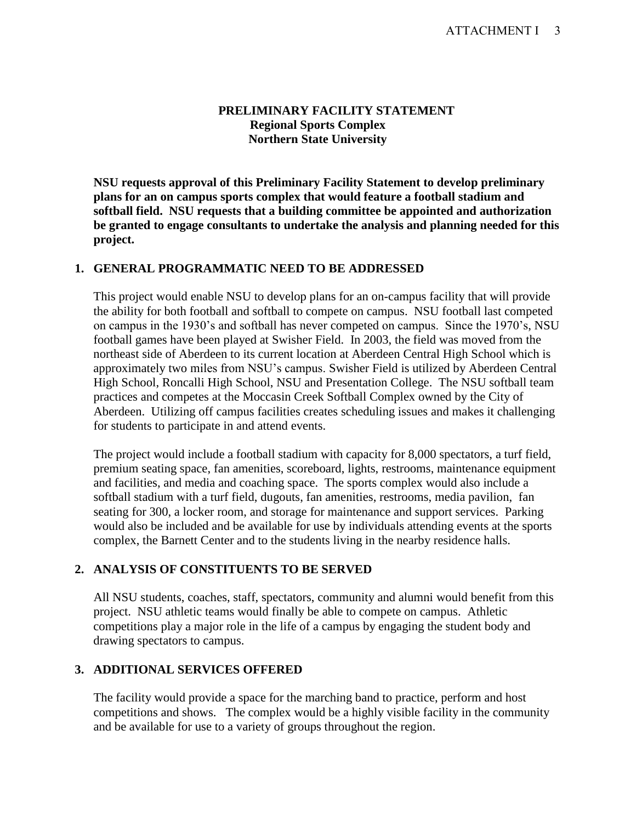#### **PRELIMINARY FACILITY STATEMENT Regional Sports Complex Northern State University**

**NSU requests approval of this Preliminary Facility Statement to develop preliminary plans for an on campus sports complex that would feature a football stadium and softball field. NSU requests that a building committee be appointed and authorization be granted to engage consultants to undertake the analysis and planning needed for this project.** 

## **1. GENERAL PROGRAMMATIC NEED TO BE ADDRESSED**

This project would enable NSU to develop plans for an on-campus facility that will provide the ability for both football and softball to compete on campus. NSU football last competed on campus in the 1930's and softball has never competed on campus. Since the 1970's, NSU football games have been played at Swisher Field. In 2003, the field was moved from the northeast side of Aberdeen to its current location at Aberdeen Central High School which is approximately two miles from NSU's campus. Swisher Field is utilized by Aberdeen Central High School, Roncalli High School, NSU and Presentation College. The NSU softball team practices and competes at the Moccasin Creek Softball Complex owned by the City of Aberdeen. Utilizing off campus facilities creates scheduling issues and makes it challenging for students to participate in and attend events.

The project would include a football stadium with capacity for 8,000 spectators, a turf field, premium seating space, fan amenities, scoreboard, lights, restrooms, maintenance equipment and facilities, and media and coaching space. The sports complex would also include a softball stadium with a turf field, dugouts, fan amenities, restrooms, media pavilion, fan seating for 300, a locker room, and storage for maintenance and support services. Parking would also be included and be available for use by individuals attending events at the sports complex, the Barnett Center and to the students living in the nearby residence halls.

## **2. ANALYSIS OF CONSTITUENTS TO BE SERVED**

All NSU students, coaches, staff, spectators, community and alumni would benefit from this project. NSU athletic teams would finally be able to compete on campus. Athletic competitions play a major role in the life of a campus by engaging the student body and drawing spectators to campus.

## **3. ADDITIONAL SERVICES OFFERED**

The facility would provide a space for the marching band to practice, perform and host competitions and shows. The complex would be a highly visible facility in the community and be available for use to a variety of groups throughout the region.